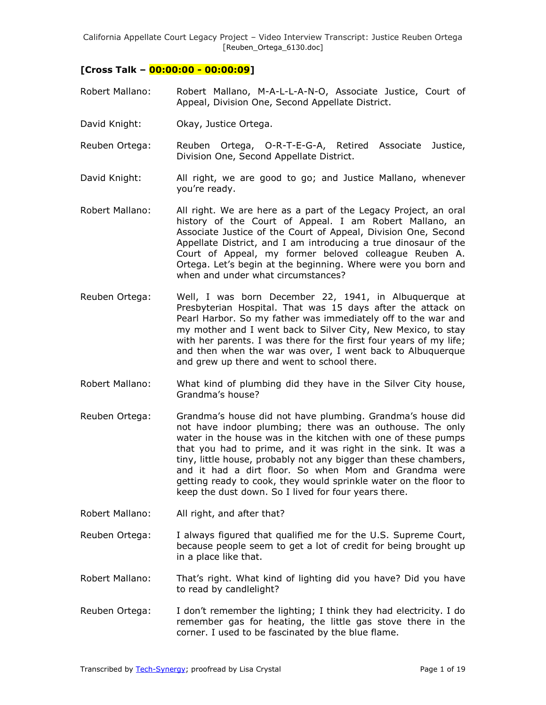# **[Cross Talk – 00:00:00 - 00:00:09]**

- Robert Mallano: Robert Mallano, M-A-L-L-A-N-O, Associate Justice, Court of Appeal, Division One, Second Appellate District.
- David Knight: Okay, Justice Ortega.
- Reuben Ortega: Reuben Ortega, O-R-T-E-G-A, Retired Associate Justice, Division One, Second Appellate District.
- David Knight: All right, we are good to go; and Justice Mallano, whenever you're ready.
- Robert Mallano: All right. We are here as a part of the Legacy Project, an oral history of the Court of Appeal. I am Robert Mallano, an Associate Justice of the Court of Appeal, Division One, Second Appellate District, and I am introducing a true dinosaur of the Court of Appeal, my former beloved colleague Reuben A. Ortega. Let's begin at the beginning. Where were you born and when and under what circumstances?
- Reuben Ortega: Well, I was born December 22, 1941, in Albuquerque at Presbyterian Hospital. That was 15 days after the attack on Pearl Harbor. So my father was immediately off to the war and my mother and I went back to Silver City, New Mexico, to stay with her parents. I was there for the first four years of my life; and then when the war was over, I went back to Albuquerque and grew up there and went to school there.
- Robert Mallano: What kind of plumbing did they have in the Silver City house, Grandma's house?
- Reuben Ortega: Grandma's house did not have plumbing. Grandma's house did not have indoor plumbing; there was an outhouse. The only water in the house was in the kitchen with one of these pumps that you had to prime, and it was right in the sink. It was a tiny, little house, probably not any bigger than these chambers, and it had a dirt floor. So when Mom and Grandma were getting ready to cook, they would sprinkle water on the floor to keep the dust down. So I lived for four years there.
- Robert Mallano: All right, and after that?
- Reuben Ortega: I always figured that qualified me for the U.S. Supreme Court, because people seem to get a lot of credit for being brought up in a place like that.
- Robert Mallano: That's right. What kind of lighting did you have? Did you have to read by candlelight?
- Reuben Ortega: I don't remember the lighting; I think they had electricity. I do remember gas for heating, the little gas stove there in the corner. I used to be fascinated by the blue flame.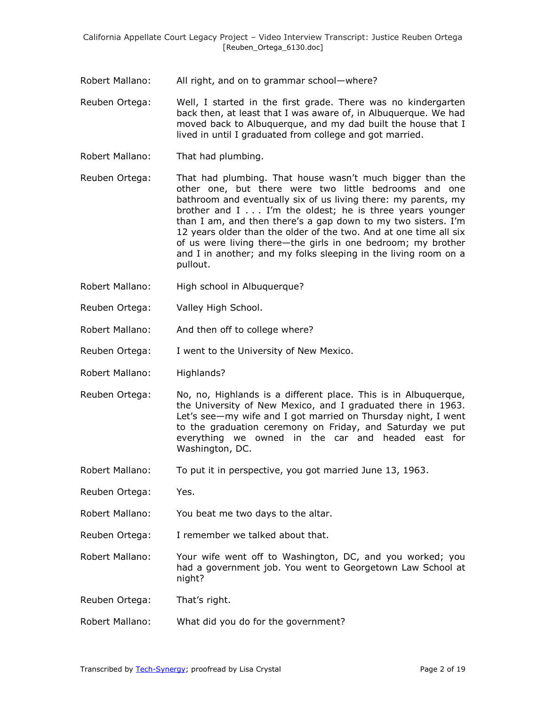- Robert Mallano: All right, and on to grammar school—where?
- Reuben Ortega: Well, I started in the first grade. There was no kindergarten back then, at least that I was aware of, in Albuquerque. We had moved back to Albuquerque, and my dad built the house that I lived in until I graduated from college and got married.
- Robert Mallano: That had plumbing.
- Reuben Ortega: That had plumbing. That house wasn't much bigger than the other one, but there were two little bedrooms and one bathroom and eventually six of us living there: my parents, my brother and I . . . I'm the oldest; he is three years younger than I am, and then there's a gap down to my two sisters. I'm 12 years older than the older of the two. And at one time all six of us were living there—the girls in one bedroom; my brother and I in another; and my folks sleeping in the living room on a pullout.
- Robert Mallano: High school in Albuquerque?
- Reuben Ortega: Valley High School.
- Robert Mallano: And then off to college where?
- Reuben Ortega: I went to the University of New Mexico.
- Robert Mallano: Highlands?
- Reuben Ortega: No, no, Highlands is a different place. This is in Albuquerque, the University of New Mexico, and I graduated there in 1963. Let's see—my wife and I got married on Thursday night, I went to the graduation ceremony on Friday, and Saturday we put everything we owned in the car and headed east for Washington, DC.
- Robert Mallano: To put it in perspective, you got married June 13, 1963.
- Reuben Ortega: Yes.
- Robert Mallano: You beat me two days to the altar.
- Reuben Ortega: I remember we talked about that.
- Robert Mallano: Your wife went off to Washington, DC, and you worked; you had a government job. You went to Georgetown Law School at night?
- Reuben Ortega: That's right.
- Robert Mallano: What did you do for the government?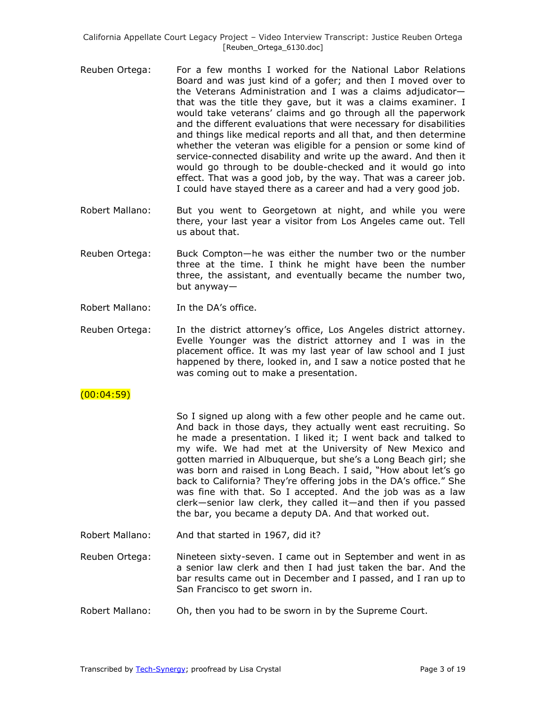- Reuben Ortega: For a few months I worked for the National Labor Relations Board and was just kind of a gofer; and then I moved over to the Veterans Administration and I was a claims adjudicator that was the title they gave, but it was a claims examiner. I would take veterans' claims and go through all the paperwork and the different evaluations that were necessary for disabilities and things like medical reports and all that, and then determine whether the veteran was eligible for a pension or some kind of service-connected disability and write up the award. And then it would go through to be double-checked and it would go into effect. That was a good job, by the way. That was a career job. I could have stayed there as a career and had a very good job.
- Robert Mallano: But you went to Georgetown at night, and while you were there, your last year a visitor from Los Angeles came out. Tell us about that.
- Reuben Ortega: Buck Compton—he was either the number two or the number three at the time. I think he might have been the number three, the assistant, and eventually became the number two, but anyway—
- Robert Mallano: In the DA's office.
- Reuben Ortega: In the district attorney's office, Los Angeles district attorney. Evelle Younger was the district attorney and I was in the placement office. It was my last year of law school and I just happened by there, looked in, and I saw a notice posted that he was coming out to make a presentation.

# $(00:04:59)$

So I signed up along with a few other people and he came out. And back in those days, they actually went east recruiting. So he made a presentation. I liked it; I went back and talked to my wife. We had met at the University of New Mexico and gotten married in Albuquerque, but she's a Long Beach girl; she was born and raised in Long Beach. I said, "How about let's go back to California? They're offering jobs in the DA's office." She was fine with that. So I accepted. And the job was as a law clerk—senior law clerk, they called it—and then if you passed the bar, you became a deputy DA. And that worked out.

- Robert Mallano: And that started in 1967, did it?
- Reuben Ortega: Nineteen sixty-seven. I came out in September and went in as a senior law clerk and then I had just taken the bar. And the bar results came out in December and I passed, and I ran up to San Francisco to get sworn in.
- Robert Mallano: Oh, then you had to be sworn in by the Supreme Court.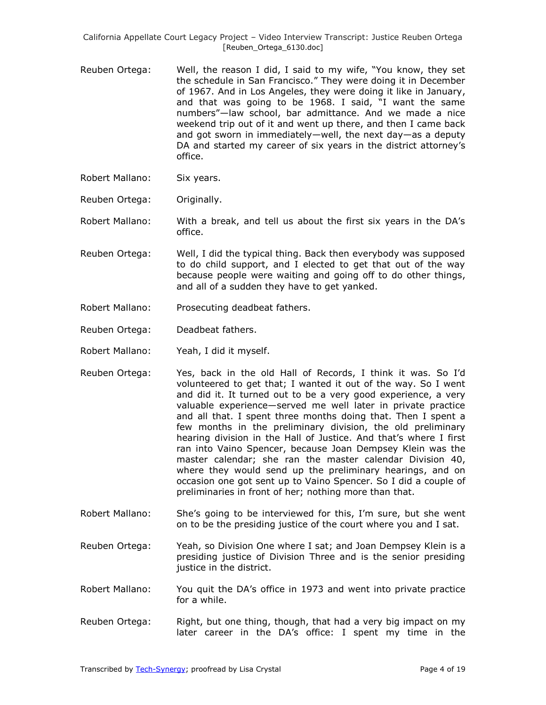- Reuben Ortega: Well, the reason I did, I said to my wife, "You know, they set the schedule in San Francisco." They were doing it in December of 1967. And in Los Angeles, they were doing it like in January, and that was going to be 1968. I said, "I want the same numbers"-law school, bar admittance. And we made a nice weekend trip out of it and went up there, and then I came back and got sworn in immediately—well, the next day—as a deputy DA and started my career of six years in the district attorney's office.
- Robert Mallano: Six years.
- Reuben Ortega: Originally.

Robert Mallano: With a break, and tell us about the first six years in the DA's office.

- Reuben Ortega: Well, I did the typical thing. Back then everybody was supposed to do child support, and I elected to get that out of the way because people were waiting and going off to do other things, and all of a sudden they have to get yanked.
- Robert Mallano: Prosecuting deadbeat fathers.
- Reuben Ortega: Deadbeat fathers.
- Robert Mallano: Yeah, I did it myself.
- Reuben Ortega: Yes, back in the old Hall of Records, I think it was. So I'd volunteered to get that; I wanted it out of the way. So I went and did it. It turned out to be a very good experience, a very valuable experience—served me well later in private practice and all that. I spent three months doing that. Then I spent a few months in the preliminary division, the old preliminary hearing division in the Hall of Justice. And that's where I first ran into Vaino Spencer, because Joan Dempsey Klein was the master calendar; she ran the master calendar Division 40, where they would send up the preliminary hearings, and on occasion one got sent up to Vaino Spencer. So I did a couple of preliminaries in front of her; nothing more than that.
- Robert Mallano: She's going to be interviewed for this, I'm sure, but she went on to be the presiding justice of the court where you and I sat.
- Reuben Ortega: Yeah, so Division One where I sat; and Joan Dempsey Klein is a presiding justice of Division Three and is the senior presiding justice in the district.
- Robert Mallano: You quit the DA's office in 1973 and went into private practice for a while.
- Reuben Ortega: Right, but one thing, though, that had a very big impact on my later career in the DA's office: I spent my time in the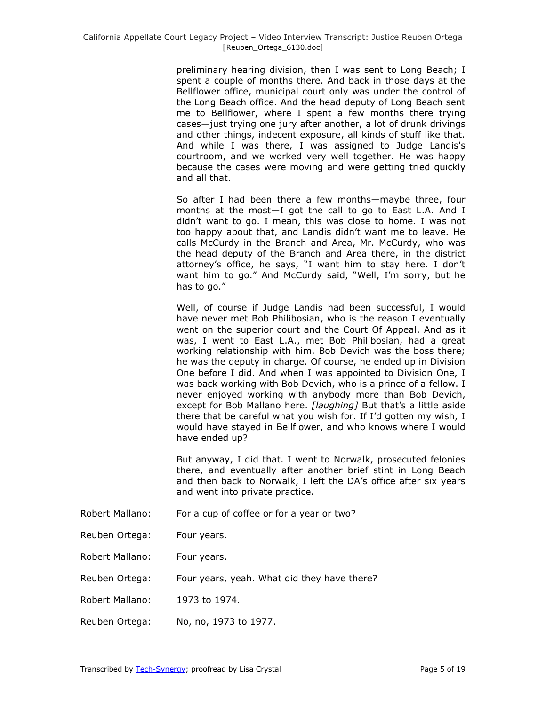preliminary hearing division, then I was sent to Long Beach; I spent a couple of months there. And back in those days at the Bellflower office, municipal court only was under the control of the Long Beach office. And the head deputy of Long Beach sent me to Bellflower, where I spent a few months there trying cases—just trying one jury after another, a lot of drunk drivings and other things, indecent exposure, all kinds of stuff like that. And while I was there, I was assigned to Judge Landis's courtroom, and we worked very well together. He was happy because the cases were moving and were getting tried quickly and all that.

So after I had been there a few months—maybe three, four months at the most—I got the call to go to East L.A. And I didn't want to go. I mean, this was close to home. I was not too happy about that, and Landis didn't want me to leave. He calls McCurdy in the Branch and Area, Mr. McCurdy, who was the head deputy of the Branch and Area there, in the district attorney's office, he says, "I want him to stay here. I don't want him to go." And McCurdy said, "Well, I'm sorry, but he has to go."

Well, of course if Judge Landis had been successful, I would have never met Bob Philibosian, who is the reason I eventually went on the superior court and the Court Of Appeal. And as it was, I went to East L.A., met Bob Philibosian, had a great working relationship with him. Bob Devich was the boss there; he was the deputy in charge. Of course, he ended up in Division One before I did. And when I was appointed to Division One, I was back working with Bob Devich, who is a prince of a fellow. I never enjoyed working with anybody more than Bob Devich, except for Bob Mallano here. *[laughing]* But that's a little aside there that be careful what you wish for. If I'd gotten my wish, I would have stayed in Bellflower, and who knows where I would have ended up?

But anyway, I did that. I went to Norwalk, prosecuted felonies there, and eventually after another brief stint in Long Beach and then back to Norwalk, I left the DA's office after six years and went into private practice.

- Robert Mallano: For a cup of coffee or for a year or two?
- Reuben Ortega: Four years.
- Robert Mallano: Four years.
- Reuben Ortega: Four years, yeah. What did they have there?
- Robert Mallano: 1973 to 1974.
- Reuben Ortega: No, no, 1973 to 1977.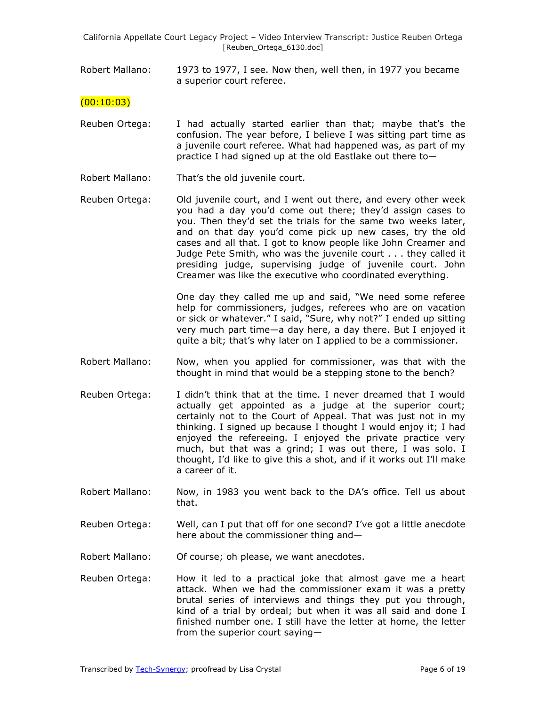Robert Mallano: 1973 to 1977, I see. Now then, well then, in 1977 you became a superior court referee.

### $(00:10:03)$

- Reuben Ortega: I had actually started earlier than that; maybe that's the confusion. The year before, I believe I was sitting part time as a juvenile court referee. What had happened was, as part of my practice I had signed up at the old Eastlake out there to—
- Robert Mallano: That's the old juvenile court.
- Reuben Ortega: Old juvenile court, and I went out there, and every other week you had a day you'd come out there; they'd assign cases to you. Then they'd set the trials for the same two weeks later, and on that day you'd come pick up new cases, try the old cases and all that. I got to know people like John Creamer and Judge Pete Smith, who was the juvenile court . . . they called it presiding judge, supervising judge of juvenile court. John Creamer was like the executive who coordinated everything.

One day they called me up and said, "We need some referee help for commissioners, judges, referees who are on vacation or sick or whatever." I said, "Sure, why not?" I ended up sitting very much part time—a day here, a day there. But I enjoyed it quite a bit; that's why later on I applied to be a commissioner.

- Robert Mallano: Now, when you applied for commissioner, was that with the thought in mind that would be a stepping stone to the bench?
- Reuben Ortega: I didn't think that at the time. I never dreamed that I would actually get appointed as a judge at the superior court; certainly not to the Court of Appeal. That was just not in my thinking. I signed up because I thought I would enjoy it; I had enjoyed the refereeing. I enjoyed the private practice very much, but that was a grind; I was out there, I was solo. I thought, I'd like to give this a shot, and if it works out I'll make a career of it.
- Robert Mallano: Now, in 1983 you went back to the DA's office. Tell us about that.
- Reuben Ortega: Well, can I put that off for one second? I've got a little anecdote here about the commissioner thing and—
- Robert Mallano: Of course; oh please, we want anecdotes.
- Reuben Ortega: How it led to a practical joke that almost gave me a heart attack. When we had the commissioner exam it was a pretty brutal series of interviews and things they put you through, kind of a trial by ordeal; but when it was all said and done I finished number one. I still have the letter at home, the letter from the superior court saying—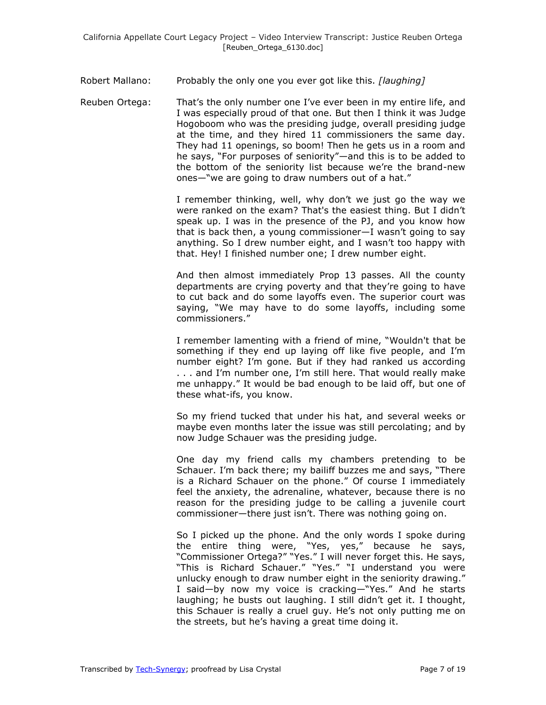### Robert Mallano: Probably the only one you ever got like this. *[laughing]*

Reuben Ortega: That's the only number one I've ever been in my entire life, and I was especially proud of that one. But then I think it was Judge Hogoboom who was the presiding judge, overall presiding judge at the time, and they hired 11 commissioners the same day. They had 11 openings, so boom! Then he gets us in a room and he says, "For purposes of seniority"—and this is to be added to the bottom of the seniority list because we're the brand-new ones—"we are going to draw numbers out of a hat."

> I remember thinking, well, why don't we just go the way we were ranked on the exam? That's the easiest thing. But I didn't speak up. I was in the presence of the PJ, and you know how that is back then, a young commissioner—I wasn't going to say anything. So I drew number eight, and I wasn't too happy with that. Hey! I finished number one; I drew number eight.

> And then almost immediately Prop 13 passes. All the county departments are crying poverty and that they're going to have to cut back and do some layoffs even. The superior court was saying, "We may have to do some layoffs, including some commissioners."

> I remember lamenting with a friend of mine, "Wouldn't that be something if they end up laying off like five people, and I'm number eight? I'm gone. But if they had ranked us according . . . and I'm number one, I'm still here. That would really make me unhappy.‖ It would be bad enough to be laid off, but one of these what-ifs, you know.

> So my friend tucked that under his hat, and several weeks or maybe even months later the issue was still percolating; and by now Judge Schauer was the presiding judge.

> One day my friend calls my chambers pretending to be Schauer. I'm back there; my bailiff buzzes me and says, "There is a Richard Schauer on the phone." Of course I immediately feel the anxiety, the adrenaline, whatever, because there is no reason for the presiding judge to be calling a juvenile court commissioner—there just isn't. There was nothing going on.

> So I picked up the phone. And the only words I spoke during the entire thing were, "Yes, yes," because he says, "Commissioner Ortega?" "Yes." I will never forget this. He says, "This is Richard Schauer." "Yes." "I understand you were unlucky enough to draw number eight in the seniority drawing." I said—by now my voice is cracking—"Yes." And he starts laughing; he busts out laughing. I still didn't get it. I thought, this Schauer is really a cruel guy. He's not only putting me on the streets, but he's having a great time doing it.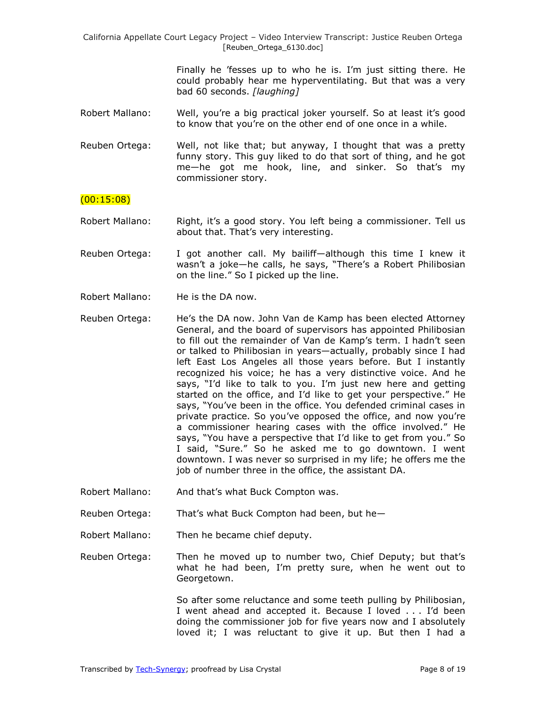> Finally he 'fesses up to who he is. I'm just sitting there. He could probably hear me hyperventilating. But that was a very bad 60 seconds. *[laughing]*

- Robert Mallano: Well, you're a big practical joker yourself. So at least it's good to know that you're on the other end of one once in a while.
- Reuben Ortega: Well, not like that; but anyway, I thought that was a pretty funny story. This guy liked to do that sort of thing, and he got me—he got me hook, line, and sinker. So that's my commissioner story.

#### (00:15:08)

- Robert Mallano: Right, it's a good story. You left being a commissioner. Tell us about that. That's very interesting.
- Reuben Ortega: I got another call. My bailiff—although this time I knew it wasn't a joke-he calls, he says, "There's a Robert Philibosian on the line." So I picked up the line.
- Robert Mallano: He is the DA now.
- Reuben Ortega: He's the DA now. John Van de Kamp has been elected Attorney General, and the board of supervisors has appointed Philibosian to fill out the remainder of Van de Kamp's term. I hadn't seen or talked to Philibosian in years—actually, probably since I had left East Los Angeles all those years before. But I instantly recognized his voice; he has a very distinctive voice. And he says, "I'd like to talk to you. I'm just new here and getting started on the office, and I'd like to get your perspective." He says, "You've been in the office. You defended criminal cases in private practice. So you've opposed the office, and now you're a commissioner hearing cases with the office involved." He says, "You have a perspective that I'd like to get from you." So I said, "Sure." So he asked me to go downtown. I went downtown. I was never so surprised in my life; he offers me the job of number three in the office, the assistant DA.
- Robert Mallano: And that's what Buck Compton was.
- Reuben Ortega: That's what Buck Compton had been, but he—
- Robert Mallano: Then he became chief deputy.
- Reuben Ortega: Then he moved up to number two, Chief Deputy; but that's what he had been, I'm pretty sure, when he went out to Georgetown.

So after some reluctance and some teeth pulling by Philibosian, I went ahead and accepted it. Because I loved . . . I'd been doing the commissioner job for five years now and I absolutely loved it; I was reluctant to give it up. But then I had a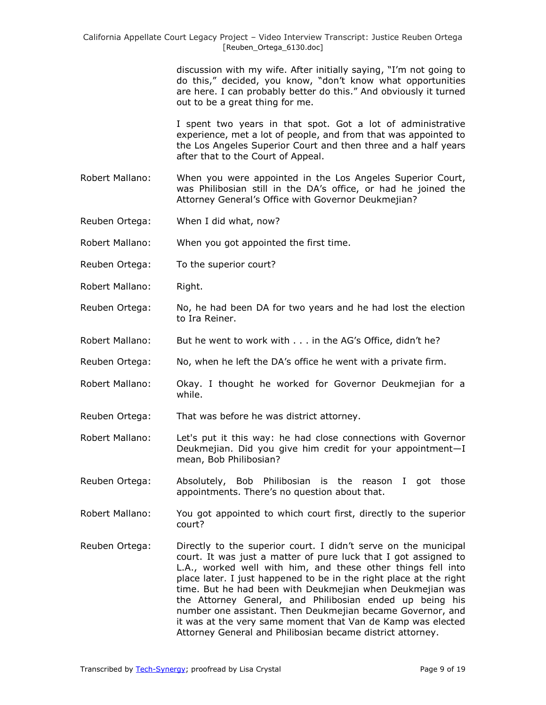discussion with my wife. After initially saying, "I'm not going to do this," decided, you know, "don't know what opportunities are here. I can probably better do this." And obviously it turned out to be a great thing for me.

I spent two years in that spot. Got a lot of administrative experience, met a lot of people, and from that was appointed to the Los Angeles Superior Court and then three and a half years after that to the Court of Appeal.

- Robert Mallano: When you were appointed in the Los Angeles Superior Court, was Philibosian still in the DA's office, or had he joined the Attorney General's Office with Governor Deukmejian?
- Reuben Ortega: When I did what, now?
- Robert Mallano: When you got appointed the first time.
- Reuben Ortega: To the superior court?
- Robert Mallano: Right.
- Reuben Ortega: No, he had been DA for two years and he had lost the election to Ira Reiner.
- Robert Mallano: But he went to work with . . . in the AG's Office, didn't he?
- Reuben Ortega: No, when he left the DA's office he went with a private firm.
- Robert Mallano: Okay. I thought he worked for Governor Deukmejian for a while.
- Reuben Ortega: That was before he was district attorney.
- Robert Mallano: Let's put it this way: he had close connections with Governor Deukmejian. Did you give him credit for your appointment—I mean, Bob Philibosian?
- Reuben Ortega: Absolutely, Bob Philibosian is the reason I got those appointments. There's no question about that.
- Robert Mallano: You got appointed to which court first, directly to the superior court?
- Reuben Ortega: Directly to the superior court. I didn't serve on the municipal court. It was just a matter of pure luck that I got assigned to L.A., worked well with him, and these other things fell into place later. I just happened to be in the right place at the right time. But he had been with Deukmejian when Deukmejian was the Attorney General, and Philibosian ended up being his number one assistant. Then Deukmejian became Governor, and it was at the very same moment that Van de Kamp was elected Attorney General and Philibosian became district attorney.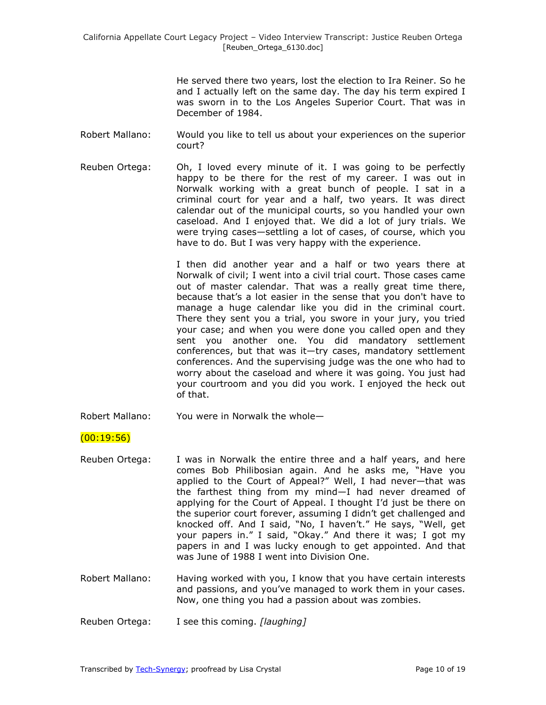He served there two years, lost the election to Ira Reiner. So he and I actually left on the same day. The day his term expired I was sworn in to the Los Angeles Superior Court. That was in December of 1984.

- Robert Mallano: Would you like to tell us about your experiences on the superior court?
- Reuben Ortega: Oh, I loved every minute of it. I was going to be perfectly happy to be there for the rest of my career. I was out in Norwalk working with a great bunch of people. I sat in a criminal court for year and a half, two years. It was direct calendar out of the municipal courts, so you handled your own caseload. And I enjoyed that. We did a lot of jury trials. We were trying cases—settling a lot of cases, of course, which you have to do. But I was very happy with the experience.

I then did another year and a half or two years there at Norwalk of civil; I went into a civil trial court. Those cases came out of master calendar. That was a really great time there, because that's a lot easier in the sense that you don't have to manage a huge calendar like you did in the criminal court. There they sent you a trial, you swore in your jury, you tried your case; and when you were done you called open and they sent you another one. You did mandatory settlement conferences, but that was it—try cases, mandatory settlement conferences. And the supervising judge was the one who had to worry about the caseload and where it was going. You just had your courtroom and you did you work. I enjoyed the heck out of that.

Robert Mallano: You were in Norwalk the whole—

# $(00:19:56)$

- Reuben Ortega: I was in Norwalk the entire three and a half years, and here comes Bob Philibosian again. And he asks me, "Have you applied to the Court of Appeal?" Well, I had never-that was the farthest thing from my mind—I had never dreamed of applying for the Court of Appeal. I thought I'd just be there on the superior court forever, assuming I didn't get challenged and knocked off. And I said, "No, I haven't." He says, "Well, get your papers in." I said, "Okay." And there it was; I got my papers in and I was lucky enough to get appointed. And that was June of 1988 I went into Division One.
- Robert Mallano: Having worked with you, I know that you have certain interests and passions, and you've managed to work them in your cases. Now, one thing you had a passion about was zombies.
- Reuben Ortega: I see this coming. *[laughing]*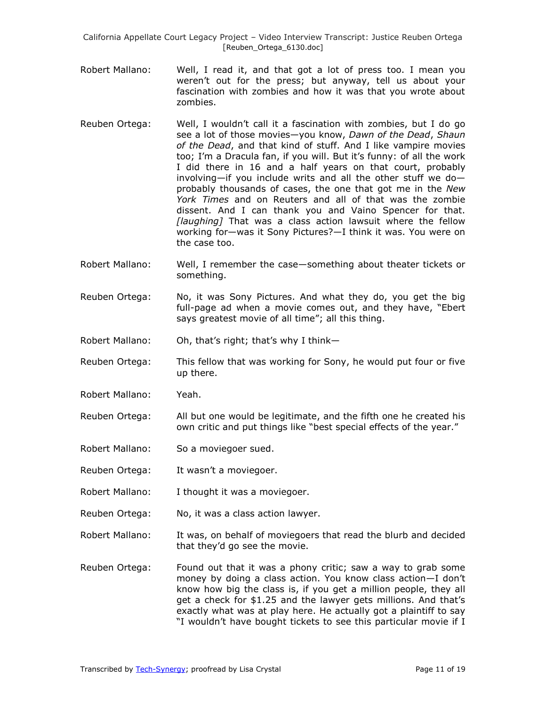- Robert Mallano: Well, I read it, and that got a lot of press too. I mean you weren't out for the press; but anyway, tell us about your fascination with zombies and how it was that you wrote about zombies.
- Reuben Ortega: Well, I wouldn't call it a fascination with zombies, but I do go see a lot of those movies—you know, *Dawn of the Dead*, *Shaun of the Dead*, and that kind of stuff. And I like vampire movies too; I'm a Dracula fan, if you will. But it's funny: of all the work I did there in 16 and a half years on that court, probably involving—if you include writs and all the other stuff we do probably thousands of cases, the one that got me in the *New York Times* and on Reuters and all of that was the zombie dissent. And I can thank you and Vaino Spencer for that. *[laughing]* That was a class action lawsuit where the fellow working for—was it Sony Pictures?—I think it was. You were on the case too.
- Robert Mallano: Well, I remember the case—something about theater tickets or something.
- Reuben Ortega: No, it was Sony Pictures. And what they do, you get the big full-page ad when a movie comes out, and they have, "Ebert says greatest movie of all time"; all this thing.
- Robert Mallano: Oh, that's right; that's why I think—
- Reuben Ortega: This fellow that was working for Sony, he would put four or five up there.
- Robert Mallano: Yeah.
- Reuben Ortega: All but one would be legitimate, and the fifth one he created his own critic and put things like "best special effects of the year."
- Robert Mallano: So a moviegoer sued.
- Reuben Ortega: It wasn't a moviegoer.
- Robert Mallano: I thought it was a moviegoer.
- Reuben Ortega: No, it was a class action lawyer.
- Robert Mallano: It was, on behalf of moviegoers that read the blurb and decided that they'd go see the movie.
- Reuben Ortega: Found out that it was a phony critic; saw a way to grab some money by doing a class action. You know class action—I don't know how big the class is, if you get a million people, they all get a check for \$1.25 and the lawyer gets millions. And that's exactly what was at play here. He actually got a plaintiff to say "I wouldn't have bought tickets to see this particular movie if I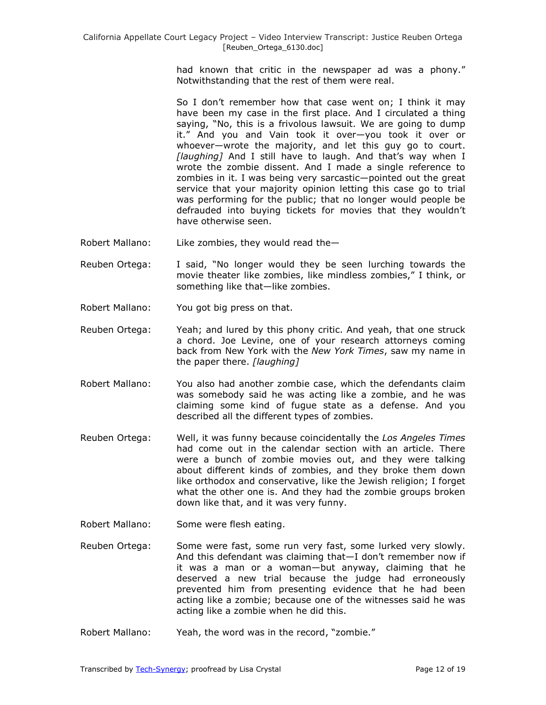had known that critic in the newspaper ad was a phony." Notwithstanding that the rest of them were real.

So I don't remember how that case went on; I think it may have been my case in the first place. And I circulated a thing saying, "No, this is a frivolous lawsuit. We are going to dump it.‖ And you and Vain took it over—you took it over or whoever—wrote the majority, and let this guy go to court. *[laughing]* And I still have to laugh. And that's way when I wrote the zombie dissent. And I made a single reference to zombies in it. I was being very sarcastic—pointed out the great service that your majority opinion letting this case go to trial was performing for the public; that no longer would people be defrauded into buying tickets for movies that they wouldn't have otherwise seen.

- Robert Mallano: Like zombies, they would read the—
- Reuben Ortega: I said, "No longer would they be seen lurching towards the movie theater like zombies, like mindless zombies," I think, or something like that—like zombies.
- Robert Mallano: You got big press on that.
- Reuben Ortega: Yeah; and lured by this phony critic. And yeah, that one struck a chord. Joe Levine, one of your research attorneys coming back from New York with the *New York Times*, saw my name in the paper there. *[laughing]*
- Robert Mallano: You also had another zombie case, which the defendants claim was somebody said he was acting like a zombie, and he was claiming some kind of fugue state as a defense. And you described all the different types of zombies.
- Reuben Ortega: Well, it was funny because coincidentally the *Los Angeles Times* had come out in the calendar section with an article. There were a bunch of zombie movies out, and they were talking about different kinds of zombies, and they broke them down like orthodox and conservative, like the Jewish religion; I forget what the other one is. And they had the zombie groups broken down like that, and it was very funny.
- Robert Mallano: Some were flesh eating.
- Reuben Ortega: Some were fast, some run very fast, some lurked very slowly. And this defendant was claiming that—I don't remember now if it was a man or a woman—but anyway, claiming that he deserved a new trial because the judge had erroneously prevented him from presenting evidence that he had been acting like a zombie; because one of the witnesses said he was acting like a zombie when he did this.
- Robert Mallano: Yeah, the word was in the record, "zombie."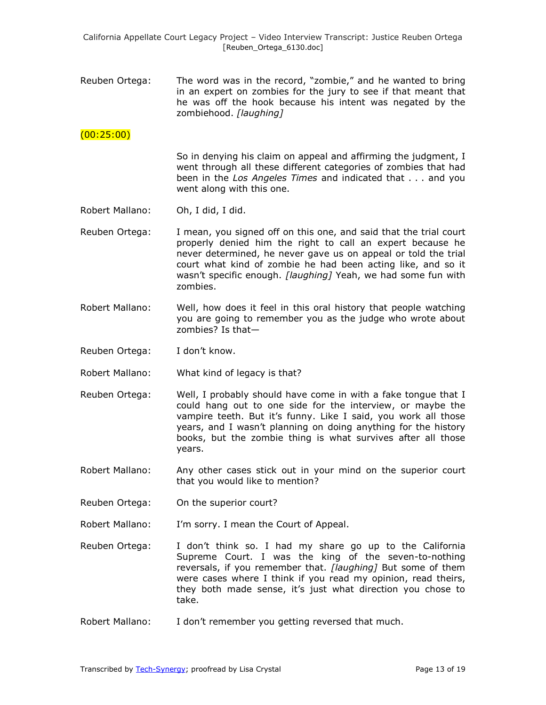Reuben Ortega: The word was in the record, "zombie," and he wanted to bring in an expert on zombies for the jury to see if that meant that he was off the hook because his intent was negated by the zombiehood. *[laughing]*

# (00:25:00)

So in denying his claim on appeal and affirming the judgment, I went through all these different categories of zombies that had been in the *Los Angeles Times* and indicated that . . . and you went along with this one.

- Robert Mallano: Oh, I did, I did.
- Reuben Ortega: I mean, you signed off on this one, and said that the trial court properly denied him the right to call an expert because he never determined, he never gave us on appeal or told the trial court what kind of zombie he had been acting like, and so it wasn't specific enough. *[laughing]* Yeah, we had some fun with zombies.
- Robert Mallano: Well, how does it feel in this oral history that people watching you are going to remember you as the judge who wrote about zombies? Is that—
- Reuben Ortega: I don't know.
- Robert Mallano: What kind of legacy is that?
- Reuben Ortega: Well, I probably should have come in with a fake tongue that I could hang out to one side for the interview, or maybe the vampire teeth. But it's funny. Like I said, you work all those years, and I wasn't planning on doing anything for the history books, but the zombie thing is what survives after all those years.
- Robert Mallano: Any other cases stick out in your mind on the superior court that you would like to mention?
- Reuben Ortega: On the superior court?
- Robert Mallano: I'm sorry. I mean the Court of Appeal.
- Reuben Ortega: I don't think so. I had my share go up to the California Supreme Court. I was the king of the seven-to-nothing reversals, if you remember that. *[laughing]* But some of them were cases where I think if you read my opinion, read theirs, they both made sense, it's just what direction you chose to take.
- Robert Mallano: I don't remember you getting reversed that much.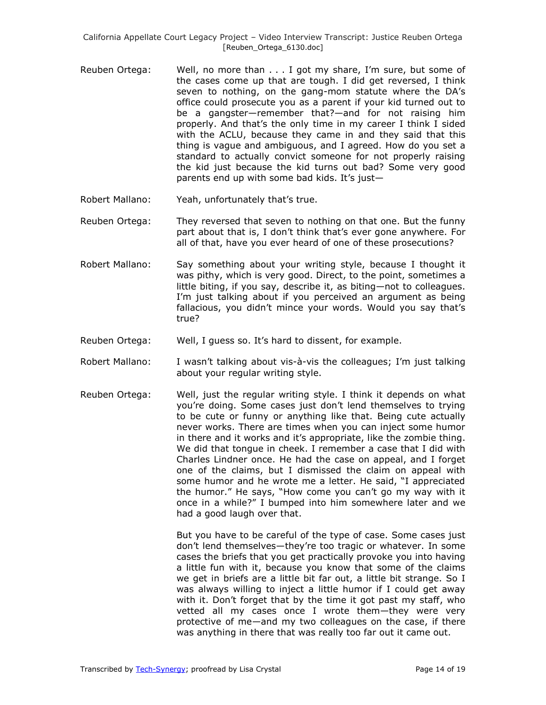- Reuben Ortega: Well, no more than . . . I got my share, I'm sure, but some of the cases come up that are tough. I did get reversed, I think seven to nothing, on the gang-mom statute where the DA's office could prosecute you as a parent if your kid turned out to be a gangster—remember that?—and for not raising him properly. And that's the only time in my career I think I sided with the ACLU, because they came in and they said that this thing is vague and ambiguous, and I agreed. How do you set a standard to actually convict someone for not properly raising the kid just because the kid turns out bad? Some very good parents end up with some bad kids. It's just—
- Robert Mallano: Yeah, unfortunately that's true.
- Reuben Ortega: They reversed that seven to nothing on that one. But the funny part about that is, I don't think that's ever gone anywhere. For all of that, have you ever heard of one of these prosecutions?
- Robert Mallano: Say something about your writing style, because I thought it was pithy, which is very good. Direct, to the point, sometimes a little biting, if you say, describe it, as biting—not to colleagues. I'm just talking about if you perceived an argument as being fallacious, you didn't mince your words. Would you say that's true?
- Reuben Ortega: Well, I guess so. It's hard to dissent, for example.
- Robert Mallano: I wasn't talking about vis-à-vis the colleagues; I'm just talking about your regular writing style.
- Reuben Ortega: Well, just the regular writing style. I think it depends on what you're doing. Some cases just don't lend themselves to trying to be cute or funny or anything like that. Being cute actually never works. There are times when you can inject some humor in there and it works and it's appropriate, like the zombie thing. We did that tongue in cheek. I remember a case that I did with Charles Lindner once. He had the case on appeal, and I forget one of the claims, but I dismissed the claim on appeal with some humor and he wrote me a letter. He said, "I appreciated the humor." He says, "How come you can't go my way with it once in a while?" I bumped into him somewhere later and we had a good laugh over that.

But you have to be careful of the type of case. Some cases just don't lend themselves—they're too tragic or whatever. In some cases the briefs that you get practically provoke you into having a little fun with it, because you know that some of the claims we get in briefs are a little bit far out, a little bit strange. So I was always willing to inject a little humor if I could get away with it. Don't forget that by the time it got past my staff, who vetted all my cases once I wrote them—they were very protective of me—and my two colleagues on the case, if there was anything in there that was really too far out it came out.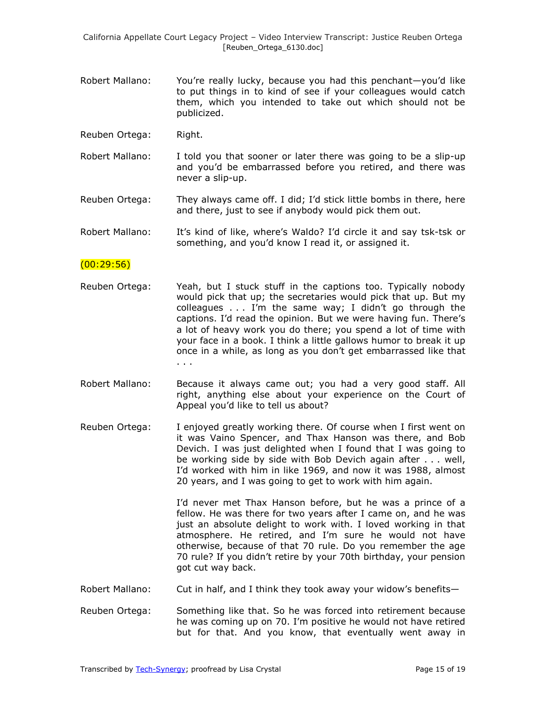- Robert Mallano: You're really lucky, because you had this penchant—you'd like to put things in to kind of see if your colleagues would catch them, which you intended to take out which should not be publicized.
- Reuben Ortega: Right.
- Robert Mallano: I told you that sooner or later there was going to be a slip-up and you'd be embarrassed before you retired, and there was never a slip-up.
- Reuben Ortega: They always came off. I did; I'd stick little bombs in there, here and there, just to see if anybody would pick them out.
- Robert Mallano: It's kind of like, where's Waldo? I'd circle it and say tsk-tsk or something, and you'd know I read it, or assigned it.

### $(00:29:56)$

- Reuben Ortega: Yeah, but I stuck stuff in the captions too. Typically nobody would pick that up; the secretaries would pick that up. But my colleagues  $\ldots$  I'm the same way; I didn't go through the captions. I'd read the opinion. But we were having fun. There's a lot of heavy work you do there; you spend a lot of time with your face in a book. I think a little gallows humor to break it up once in a while, as long as you don't get embarrassed like that . . .
- Robert Mallano: Because it always came out; you had a very good staff. All right, anything else about your experience on the Court of Appeal you'd like to tell us about?
- Reuben Ortega: I enjoyed greatly working there. Of course when I first went on it was Vaino Spencer, and Thax Hanson was there, and Bob Devich. I was just delighted when I found that I was going to be working side by side with Bob Devich again after . . . well, I'd worked with him in like 1969, and now it was 1988, almost 20 years, and I was going to get to work with him again.

I'd never met Thax Hanson before, but he was a prince of a fellow. He was there for two years after I came on, and he was just an absolute delight to work with. I loved working in that atmosphere. He retired, and I'm sure he would not have otherwise, because of that 70 rule. Do you remember the age 70 rule? If you didn't retire by your 70th birthday, your pension got cut way back.

- Robert Mallano: Cut in half, and I think they took away your widow's benefits—
- Reuben Ortega: Something like that. So he was forced into retirement because he was coming up on 70. I'm positive he would not have retired but for that. And you know, that eventually went away in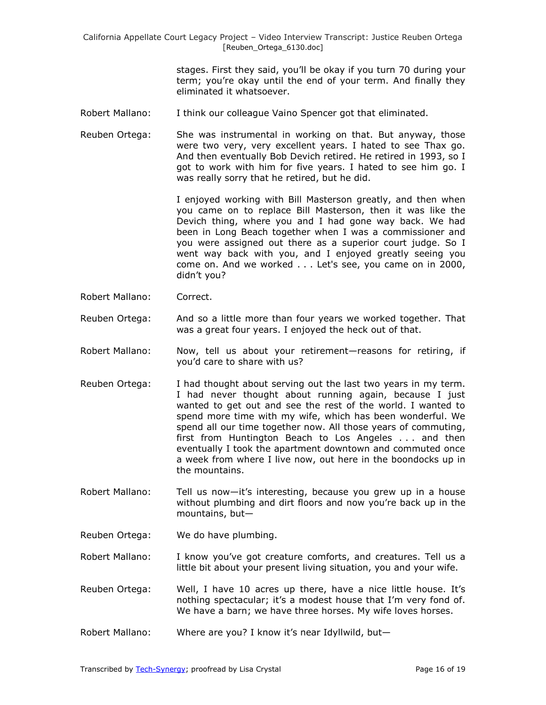> stages. First they said, you'll be okay if you turn 70 during your term; you're okay until the end of your term. And finally they eliminated it whatsoever.

- Robert Mallano: I think our colleague Vaino Spencer got that eliminated.
- Reuben Ortega: She was instrumental in working on that. But anyway, those were two very, very excellent years. I hated to see Thax go. And then eventually Bob Devich retired. He retired in 1993, so I got to work with him for five years. I hated to see him go. I was really sorry that he retired, but he did.

I enjoyed working with Bill Masterson greatly, and then when you came on to replace Bill Masterson, then it was like the Devich thing, where you and I had gone way back. We had been in Long Beach together when I was a commissioner and you were assigned out there as a superior court judge. So I went way back with you, and I enjoyed greatly seeing you come on. And we worked . . . Let's see, you came on in 2000, didn't you?

- Robert Mallano: Correct.
- Reuben Ortega: And so a little more than four years we worked together. That was a great four years. I enjoyed the heck out of that.
- Robert Mallano: Now, tell us about your retirement—reasons for retiring, if you'd care to share with us?
- Reuben Ortega: I had thought about serving out the last two years in my term. I had never thought about running again, because I just wanted to get out and see the rest of the world. I wanted to spend more time with my wife, which has been wonderful. We spend all our time together now. All those years of commuting, first from Huntington Beach to Los Angeles . . . and then eventually I took the apartment downtown and commuted once a week from where I live now, out here in the boondocks up in the mountains.
- Robert Mallano: Tell us now—it's interesting, because you grew up in a house without plumbing and dirt floors and now you're back up in the mountains, but—
- Reuben Ortega: We do have plumbing.
- Robert Mallano: I know you've got creature comforts, and creatures. Tell us a little bit about your present living situation, you and your wife.
- Reuben Ortega: Well, I have 10 acres up there, have a nice little house. It's nothing spectacular; it's a modest house that I'm very fond of. We have a barn; we have three horses. My wife loves horses.
- Robert Mallano: Where are you? I know it's near Idyllwild, but—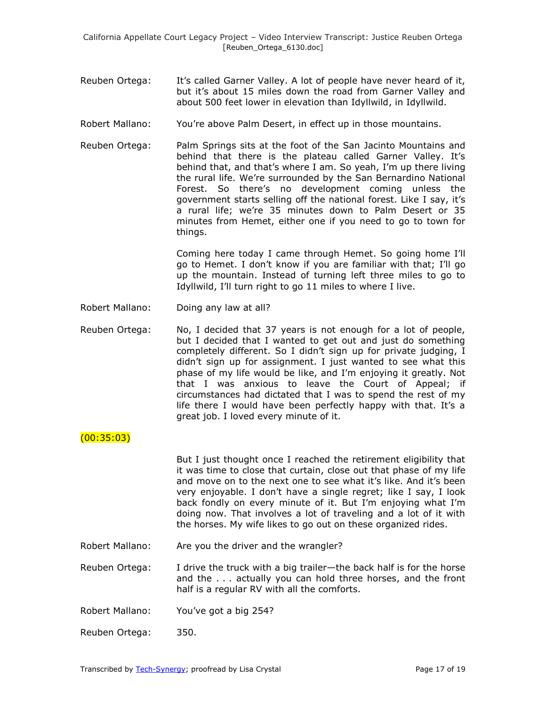- Reuben Ortega: It's called Garner Valley. A lot of people have never heard of it, but it's about 15 miles down the road from Garner Valley and about 500 feet lower in elevation than Idyllwild, in Idyllwild.
- Robert Mallano: You're above Palm Desert, in effect up in those mountains.
- Reuben Ortega: Palm Springs sits at the foot of the San Jacinto Mountains and behind that there is the plateau called Garner Valley. It's behind that, and that's where I am. So yeah, I'm up there living the rural life. We're surrounded by the San Bernardino National Forest. So there's no development coming unless the government starts selling off the national forest. Like I say, it's a rural life; we're 35 minutes down to Palm Desert or 35 minutes from Hemet, either one if you need to go to town for things.

Coming here today I came through Hemet. So going home I'll go to Hemet. I don't know if you are familiar with that; I'll go up the mountain. Instead of turning left three miles to go to Idyllwild, I'll turn right to go 11 miles to where I live.

- Robert Mallano: Doing any law at all?
- Reuben Ortega: No, I decided that 37 years is not enough for a lot of people, but I decided that I wanted to get out and just do something completely different. So I didn't sign up for private judging, I didn't sign up for assignment. I just wanted to see what this phase of my life would be like, and I'm enjoying it greatly. Not that I was anxious to leave the Court of Appeal; if circumstances had dictated that I was to spend the rest of my life there I would have been perfectly happy with that. It's a great job. I loved every minute of it.

#### (00:35:03)

But I just thought once I reached the retirement eligibility that it was time to close that curtain, close out that phase of my life and move on to the next one to see what it's like. And it's been very enjoyable. I don't have a single regret; like I say, I look back fondly on every minute of it. But I'm enjoying what I'm doing now. That involves a lot of traveling and a lot of it with the horses. My wife likes to go out on these organized rides.

Robert Mallano: Are you the driver and the wrangler?

Reuben Ortega: I drive the truck with a big trailer—the back half is for the horse and the . . . actually you can hold three horses, and the front half is a regular RV with all the comforts.

Robert Mallano: You've got a big 254?

Reuben Ortega: 350.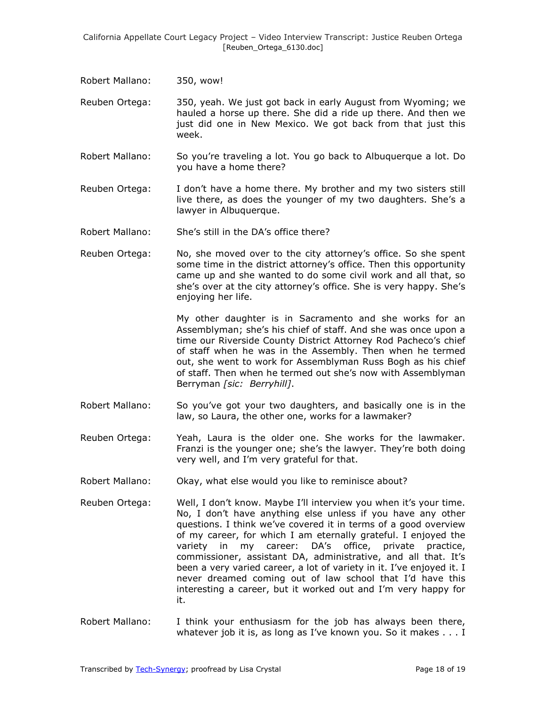- Robert Mallano: 350, wow!
- Reuben Ortega: 350, yeah. We just got back in early August from Wyoming; we hauled a horse up there. She did a ride up there. And then we just did one in New Mexico. We got back from that just this week.
- Robert Mallano: So you're traveling a lot. You go back to Albuquerque a lot. Do you have a home there?
- Reuben Ortega: I don't have a home there. My brother and my two sisters still live there, as does the younger of my two daughters. She's a lawyer in Albuquerque.
- Robert Mallano: She's still in the DA's office there?
- Reuben Ortega: No, she moved over to the city attorney's office. So she spent some time in the district attorney's office. Then this opportunity came up and she wanted to do some civil work and all that, so she's over at the city attorney's office. She is very happy. She's enjoying her life.

My other daughter is in Sacramento and she works for an Assemblyman; she's his chief of staff. And she was once upon a time our Riverside County District Attorney Rod Pacheco's chief of staff when he was in the Assembly. Then when he termed out, she went to work for Assemblyman Russ Bogh as his chief of staff. Then when he termed out she's now with Assemblyman Berryman *[sic: Berryhill]*.

- Robert Mallano: So you've got your two daughters, and basically one is in the law, so Laura, the other one, works for a lawmaker?
- Reuben Ortega: Yeah, Laura is the older one. She works for the lawmaker. Franzi is the younger one; she's the lawyer. They're both doing very well, and I'm very grateful for that.
- Robert Mallano: Okay, what else would you like to reminisce about?
- Reuben Ortega: Well, I don't know. Maybe I'll interview you when it's your time. No, I don't have anything else unless if you have any other questions. I think we've covered it in terms of a good overview of my career, for which I am eternally grateful. I enjoyed the variety in my career: DA's office, private practice, commissioner, assistant DA, administrative, and all that. It's been a very varied career, a lot of variety in it. I've enjoyed it. I never dreamed coming out of law school that I'd have this interesting a career, but it worked out and I'm very happy for it.
- Robert Mallano: I think your enthusiasm for the job has always been there, whatever job it is, as long as I've known you. So it makes . . . I